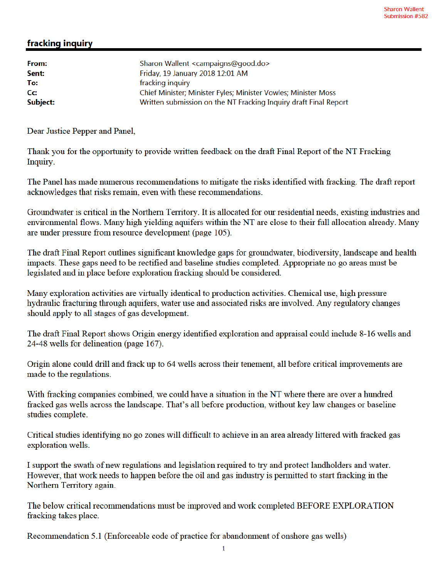## fracking inquiry

| From:    | Sharon Wallent <campaigns@good.do></campaigns@good.do>           |
|----------|------------------------------------------------------------------|
| Sent:    | Friday, 19 January 2018 12:01 AM                                 |
| To:      | fracking inquiry                                                 |
| cc:      | Chief Minister; Minister Fyles; Minister Vowles; Minister Moss   |
| Subject: | Written submission on the NT Fracking Inquiry draft Final Report |
|          |                                                                  |

Dear Justice Pepper and Panel,

Thank you for the opportunity to provide written feedback on the draft Final Report of the NT Fracking Inquiry.

The Panel has made numerous recommendations to mitigate the risks identified with fracking. The draft report acknowledges that risks remain, even with these recommendations.

Groundwater is critical in the Northern Territory. It is allocated for our residential needs, existing industries and environmental flows. Many high yielding aquifers within the NT are close to their full allocation already. Many are under pressure from resource development (page 105).

The draft Final Report outlines significant knowledge gaps for groundwater, biodiversity, landscape and health impacts. These gaps need to be rectified and baseline studies completed. Appropriate no go areas must be legislated and in place before exploration fracking should be considered.

Many exploration activities are virtually identical to production activities. Chemical use, high pressure hydraulic fracturing through aquifers, water use and associated risks are involved. Any regulatory changes should apply to all stages of gas development.

The draft Final Report shows Origin energy identified exploration and appraisal could include 8-16 wells and 24-48 wells for delineation (page 167).

Origin alone could drill and frack up to 64 wells across their tenement, all before critical improvements are made to the regulations.

With fracking companies combined, we could have a situation in the NT where there are over a hundred fracked gas wells across the landscape. That's all before production, without key law changes or baseline studies complete.

Critical studies identifying no go zones will difficult to achieve in an area already littered with fracked gas exploration wells.

I support the swath of new regulations and legislation required to try and protect landholders and water. However, that work needs to happen before the oil and gas industry is permitted to start fracking in the Northern Territory again.

The below critical recommendations must be improved and work completed BEFORE EXPLORATION fracking takes place.

Recommendation 5.1 (Enforceable code of practice for abandonment of onshore gas wells)